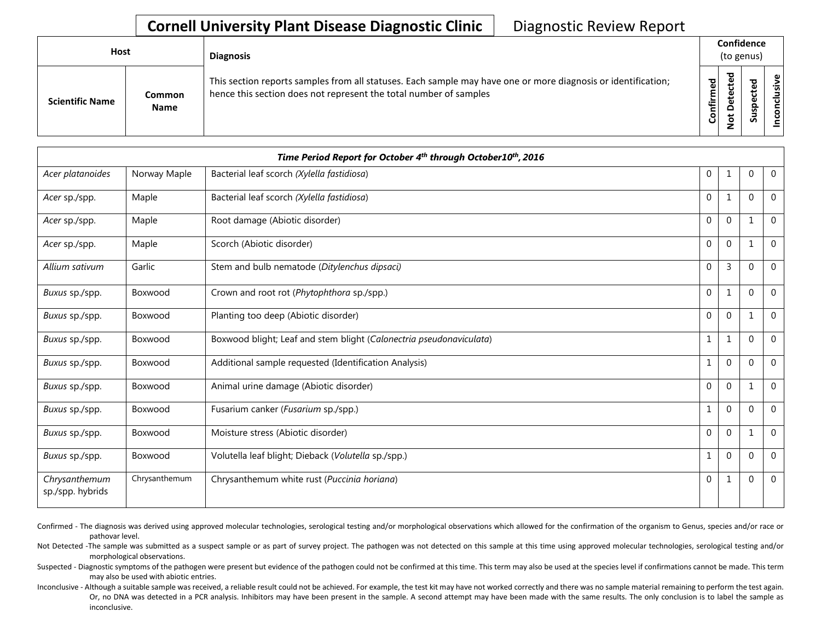## **Cornell University Plant Disease Diagnostic Clinic** | Diagnostic Review Report

| <b>Host</b>            |                       | <b>Diagnosis</b>                                                                                                                                                                   |           | Confidence<br>(to genus) |        |                      |  |  |
|------------------------|-----------------------|------------------------------------------------------------------------------------------------------------------------------------------------------------------------------------|-----------|--------------------------|--------|----------------------|--|--|
| <b>Scientific Name</b> | Common<br><b>Name</b> | This section reports samples from all statuses. Each sample may have one or more diagnosis or identification;<br>hence this section does not represent the total number of samples | Confirmed | ᇃ<br>≏<br>سە             | š<br>n | usive<br>ಕ<br>⊂<br>g |  |  |

| Time Period Report for October 4th through October10th, 2016 |               |                                                                     |              |                |          |                |  |  |
|--------------------------------------------------------------|---------------|---------------------------------------------------------------------|--------------|----------------|----------|----------------|--|--|
| Acer platanoides                                             | Norway Maple  | Bacterial leaf scorch (Xylella fastidiosa)                          | 0            | 1              | $\Omega$ | $\overline{0}$ |  |  |
| Acer sp./spp.                                                | Maple         | Bacterial leaf scorch (Xylella fastidiosa)                          | $\mathbf{0}$ | 1              | $\Omega$ | $\mathbf{0}$   |  |  |
| Acer sp./spp.                                                | Maple         | Root damage (Abiotic disorder)                                      | 0            | $\mathbf 0$    |          | $\mathbf{0}$   |  |  |
| Acer sp./spp.                                                | Maple         | Scorch (Abiotic disorder)                                           | $\mathbf{0}$ | $\mathbf 0$    |          | $\overline{0}$ |  |  |
| Allium sativum                                               | Garlic        | Stem and bulb nematode (Ditylenchus dipsaci)                        | $\mathbf 0$  | 3              | $\Omega$ | $\Omega$       |  |  |
| Buxus sp./spp.                                               | Boxwood       | Crown and root rot (Phytophthora sp./spp.)                          | $\mathbf 0$  | 1              | $\Omega$ | $\overline{0}$ |  |  |
| Buxus sp./spp.                                               | Boxwood       | Planting too deep (Abiotic disorder)                                | $\mathbf 0$  | $\overline{0}$ | 1        | $\Omega$       |  |  |
| Buxus sp./spp.                                               | Boxwood       | Boxwood blight; Leaf and stem blight (Calonectria pseudonaviculata) | $\mathbf{1}$ | 1              | $\Omega$ | $\mathbf{0}$   |  |  |
| Buxus sp./spp.                                               | Boxwood       | Additional sample requested (Identification Analysis)               | 1            | $\overline{0}$ | $\Omega$ | $\mathbf{0}$   |  |  |
| Buxus sp./spp.                                               | Boxwood       | Animal urine damage (Abiotic disorder)                              | $\mathbf{0}$ | $\Omega$       |          | $\mathbf{0}$   |  |  |
| Buxus sp./spp.                                               | Boxwood       | Fusarium canker (Fusarium sp./spp.)                                 | 1            | $\mathbf 0$    | $\Omega$ | $\mathbf{0}$   |  |  |
| Buxus sp./spp.                                               | Boxwood       | Moisture stress (Abiotic disorder)                                  | $\mathbf{0}$ | $\mathbf 0$    |          | $\overline{0}$ |  |  |
| Buxus sp./spp.                                               | Boxwood       | Volutella leaf blight; Dieback (Volutella sp./spp.)                 | 1            | $\mathbf 0$    | $\Omega$ | $\overline{0}$ |  |  |
| Chrysanthemum<br>sp./spp. hybrids                            | Chrysanthemum | Chrysanthemum white rust (Puccinia horiana)                         | $\mathbf 0$  | 1              | $\Omega$ | $\mathbf{0}$   |  |  |

Confirmed - The diagnosis was derived using approved molecular technologies, serological testing and/or morphological observations which allowed for the confirmation of the organism to Genus, species and/or race or pathovar level.

Not Detected -The sample was submitted as a suspect sample or as part of survey project. The pathogen was not detected on this sample at this time using approved molecular technologies, serological testing and/or morphological observations.

Suspected - Diagnostic symptoms of the pathogen were present but evidence of the pathogen could not be confirmed at this time. This term may also be used at the species level if confirmations cannot be made. This term may also be used with abiotic entries.

Inconclusive - Although a suitable sample was received, a reliable result could not be achieved. For example, the test kit may have not worked correctly and there was no sample material remaining to perform the test again. Or, no DNA was detected in a PCR analysis. Inhibitors may have been present in the sample. A second attempt may have been made with the same results. The only conclusion is to label the sample as inconclusive.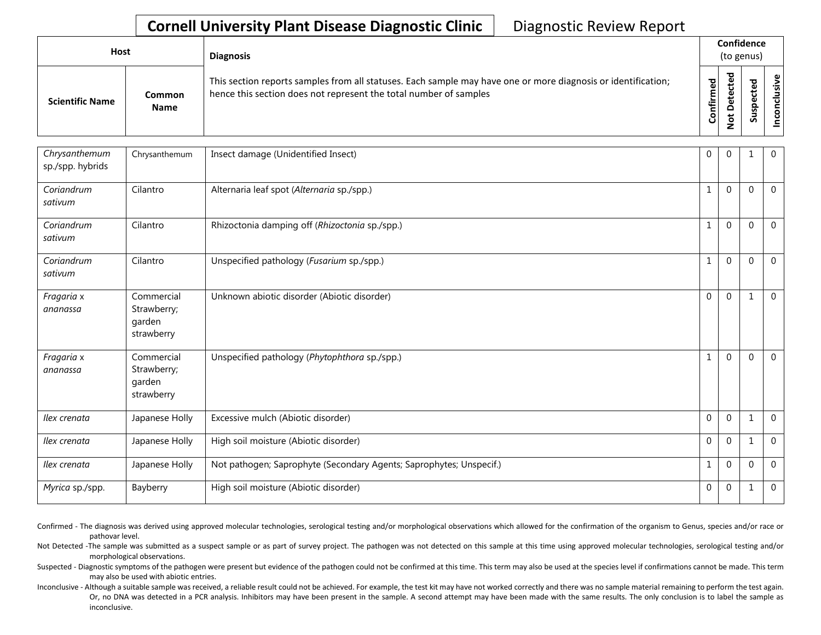## **Cornell University Plant Disease Diagnostic Clinic** | Diagnostic Review Report

| Host                   |                       | <b>Diagnosis</b>                                                                                                                                                                   |           | Confidence<br>(to genus) |   |        |
|------------------------|-----------------------|------------------------------------------------------------------------------------------------------------------------------------------------------------------------------------|-----------|--------------------------|---|--------|
| <b>Scientific Name</b> | Common<br><b>Name</b> | This section reports samples from all statuses. Each sample may have one or more diagnosis or identification;<br>hence this section does not represent the total number of samples | Confirmed | ᇃ<br>Φ<br>$\Omega$<br>ى  | ທ | ω<br>ġ |

| Chrysanthemum<br>Chrysanthemum<br>Insect damage (Unidentified Insect)<br>$\mathbf{0}$<br>sp./spp. hybrids<br>Coriandrum<br>Cilantro<br>Alternaria leaf spot (Alternaria sp./spp.)<br>$\mathbf{1}$<br>sativum | $\Omega$<br>$\Omega$ | $\Omega$ | $\mathbf{0}$<br>$\mathbf 0$ |
|--------------------------------------------------------------------------------------------------------------------------------------------------------------------------------------------------------------|----------------------|----------|-----------------------------|
|                                                                                                                                                                                                              |                      |          |                             |
|                                                                                                                                                                                                              |                      |          |                             |
| Cilantro<br>Rhizoctonia damping off (Rhizoctonia sp./spp.)<br>Coriandrum<br>1<br>sativum                                                                                                                     | $\Omega$             | $\Omega$ | $\mathbf{0}$                |
| Coriandrum<br>Cilantro<br>Unspecified pathology (Fusarium sp./spp.)<br>1<br>sativum                                                                                                                          | $\mathbf{0}$         | $\Omega$ | $\overline{0}$              |
| Commercial<br>Unknown abiotic disorder (Abiotic disorder)<br>$\mathbf 0$<br>Fragaria x<br>Strawberry;<br>ananassa<br>garden<br>strawberry                                                                    | $\mathbf 0$          | 1        | $\overline{0}$              |
| Fragaria x<br>Commercial<br>Unspecified pathology (Phytophthora sp./spp.)<br>1<br>Strawberry;<br>ananassa<br>garden<br>strawberry                                                                            | $\Omega$             | $\Omega$ | $\overline{0}$              |
| $\mathbf 0$<br>Excessive mulch (Abiotic disorder)<br>Ilex crenata<br>Japanese Holly                                                                                                                          | $\mathbf 0$          | 1        | $\mathbf 0$                 |
| $\mathbf 0$<br>Ilex crenata<br>Japanese Holly<br>High soil moisture (Abiotic disorder)                                                                                                                       | $\mathbf 0$          | 1        | $\mathbf 0$                 |
| Ilex crenata<br>Not pathogen; Saprophyte (Secondary Agents; Saprophytes; Unspecif.)<br>Japanese Holly<br>1                                                                                                   | $\mathbf{0}$         | $\Omega$ | $\mathbf{0}$                |
| High soil moisture (Abiotic disorder)<br>$\mathbf{0}$<br>Bayberry<br>Myrica sp./spp.                                                                                                                         | $\mathbf{0}$         | 1        | $\mathbf{0}$                |

Confirmed - The diagnosis was derived using approved molecular technologies, serological testing and/or morphological observations which allowed for the confirmation of the organism to Genus, species and/or race or pathovar level.

Not Detected -The sample was submitted as a suspect sample or as part of survey project. The pathogen was not detected on this sample at this time using approved molecular technologies, serological testing and/or morphological observations.

Suspected - Diagnostic symptoms of the pathogen were present but evidence of the pathogen could not be confirmed at this time. This term may also be used at the species level if confirmations cannot be made. This term may also be used with abiotic entries.

Inconclusive - Although a suitable sample was received, a reliable result could not be achieved. For example, the test kit may have not worked correctly and there was no sample material remaining to perform the test again. Or, no DNA was detected in a PCR analysis. Inhibitors may have been present in the sample. A second attempt may have been made with the same results. The only conclusion is to label the sample as inconclusive.